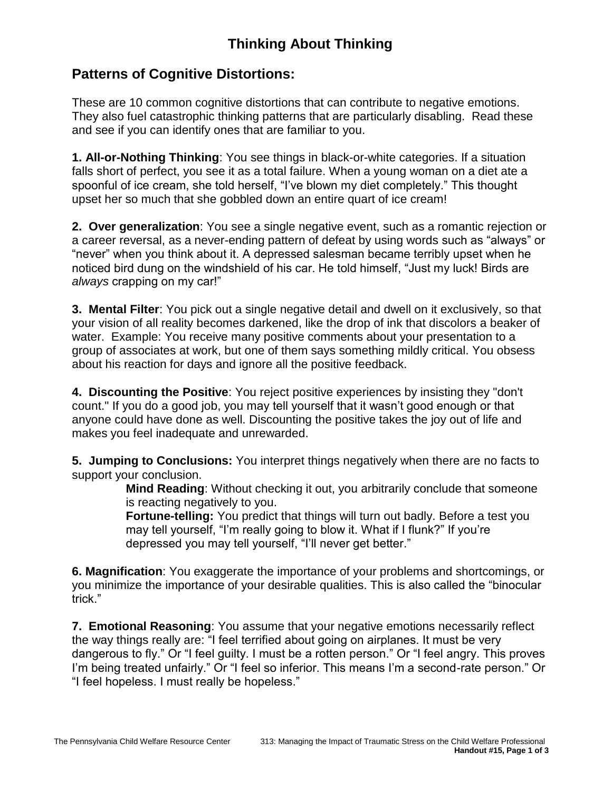## **Patterns of Cognitive Distortions:**

These are 10 common cognitive distortions that can contribute to negative emotions. They also fuel catastrophic thinking patterns that are particularly disabling. Read these and see if you can identify ones that are familiar to you.

**1. All-or-Nothing Thinking**: You see things in black-or-white categories. If a situation falls short of perfect, you see it as a total failure. When a young woman on a diet ate a spoonful of ice cream, she told herself, "I've blown my diet completely." This thought upset her so much that she gobbled down an entire quart of ice cream!

**2. Over generalization**: You see a single negative event, such as a romantic rejection or a career reversal, as a never-ending pattern of defeat by using words such as "always" or "never" when you think about it. A depressed salesman became terribly upset when he noticed bird dung on the windshield of his car. He told himself, "Just my luck! Birds are *always* crapping on my car!"

**3. Mental Filter**: You pick out a single negative detail and dwell on it exclusively, so that your vision of all reality becomes darkened, like the drop of ink that discolors a beaker of water. Example: You receive many positive comments about your presentation to a group of associates at work, but one of them says something mildly critical. You obsess about his reaction for days and ignore all the positive feedback.

**4. Discounting the Positive**: You reject positive experiences by insisting they "don't count." If you do a good job, you may tell yourself that it wasn't good enough or that anyone could have done as well. Discounting the positive takes the joy out of life and makes you feel inadequate and unrewarded.

**5. Jumping to Conclusions:** You interpret things negatively when there are no facts to support your conclusion.

**Mind Reading**: Without checking it out, you arbitrarily conclude that someone is reacting negatively to you.

**Fortune-telling:** You predict that things will turn out badly. Before a test you may tell yourself, "I'm really going to blow it. What if I flunk?" If you're depressed you may tell yourself, "I'll never get better."

**6. Magnification**: You exaggerate the importance of your problems and shortcomings, or you minimize the importance of your desirable qualities. This is also called the "binocular trick."

**7. Emotional Reasoning**: You assume that your negative emotions necessarily reflect the way things really are: "I feel terrified about going on airplanes. It must be very dangerous to fly." Or "I feel guilty. I must be a rotten person." Or "I feel angry. This proves I'm being treated unfairly." Or "I feel so inferior. This means I'm a second-rate person." Or "I feel hopeless. I must really be hopeless."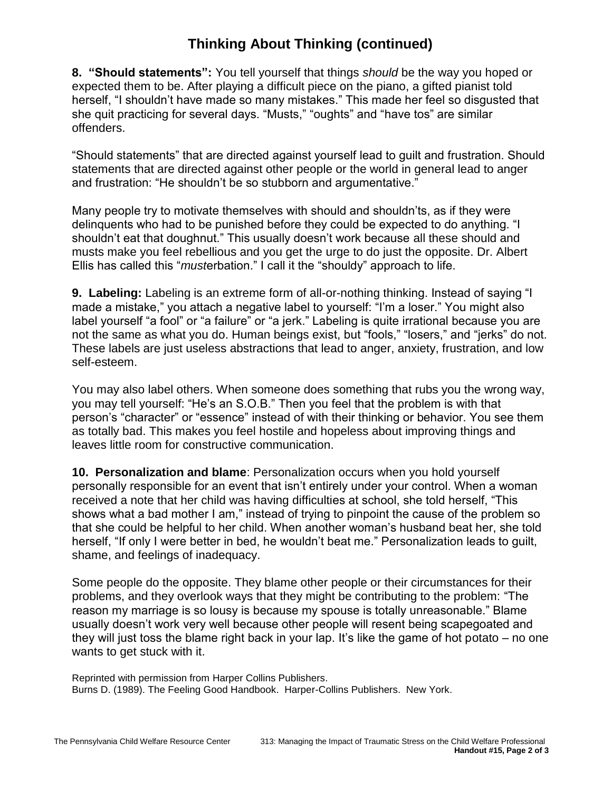## **Thinking About Thinking (continued)**

**8. "Should statements":** You tell yourself that things *should* be the way you hoped or expected them to be. After playing a difficult piece on the piano, a gifted pianist told herself, "I shouldn't have made so many mistakes." This made her feel so disgusted that she quit practicing for several days. "Musts," "oughts" and "have tos" are similar offenders.

"Should statements" that are directed against yourself lead to guilt and frustration. Should statements that are directed against other people or the world in general lead to anger and frustration: "He shouldn't be so stubborn and argumentative."

Many people try to motivate themselves with should and shouldn'ts, as if they were delinquents who had to be punished before they could be expected to do anything. "I shouldn't eat that doughnut." This usually doesn't work because all these should and musts make you feel rebellious and you get the urge to do just the opposite. Dr. Albert Ellis has called this "*must*erbation." I call it the "shouldy" approach to life.

**9. Labeling:** Labeling is an extreme form of all-or-nothing thinking. Instead of saying "I made a mistake," you attach a negative label to yourself: "I'm a loser." You might also label yourself "a fool" or "a failure" or "a jerk." Labeling is quite irrational because you are not the same as what you do. Human beings exist, but "fools," "losers," and "jerks" do not. These labels are just useless abstractions that lead to anger, anxiety, frustration, and low self-esteem.

You may also label others. When someone does something that rubs you the wrong way, you may tell yourself: "He's an S.O.B." Then you feel that the problem is with that person's "character" or "essence" instead of with their thinking or behavior. You see them as totally bad. This makes you feel hostile and hopeless about improving things and leaves little room for constructive communication.

**10. Personalization and blame**: Personalization occurs when you hold yourself personally responsible for an event that isn't entirely under your control. When a woman received a note that her child was having difficulties at school, she told herself, "This shows what a bad mother I am," instead of trying to pinpoint the cause of the problem so that she could be helpful to her child. When another woman's husband beat her, she told herself, "If only I were better in bed, he wouldn't beat me." Personalization leads to guilt, shame, and feelings of inadequacy.

Some people do the opposite. They blame other people or their circumstances for their problems, and they overlook ways that they might be contributing to the problem: "The reason my marriage is so lousy is because my spouse is totally unreasonable." Blame usually doesn't work very well because other people will resent being scapegoated and they will just toss the blame right back in your lap. It's like the game of hot potato – no one wants to get stuck with it.

Reprinted with permission from Harper Collins Publishers. Burns D. (1989). The Feeling Good Handbook. Harper-Collins Publishers. New York.